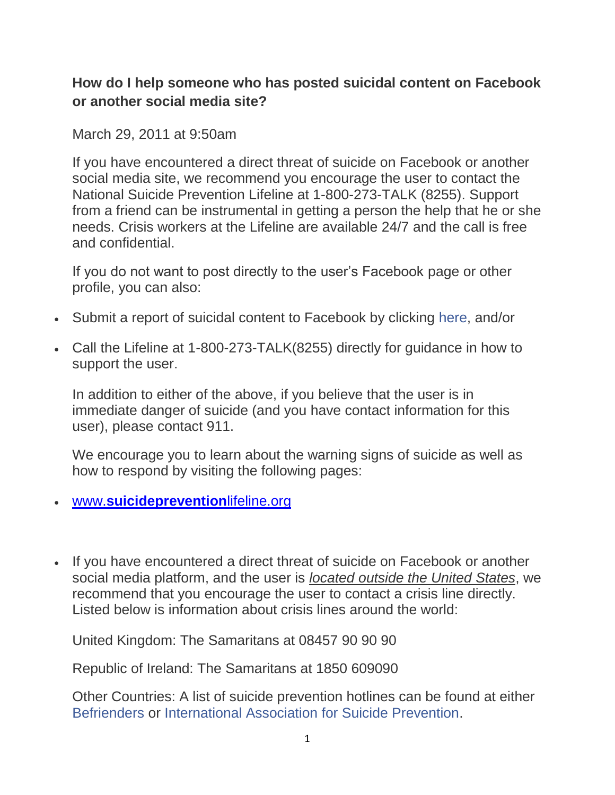## **How do I help someone who has posted suicidal content on Facebook or another social media site?**

March 29, 2011 at 9:50am

If you have encountered a direct threat of suicide on Facebook or another social media site, we recommend you encourage the user to contact the National Suicide Prevention Lifeline at 1-800-273-TALK (8255). Support from a friend can be instrumental in getting a person the help that he or she needs. Crisis workers at the Lifeline are available 24/7 and the call is free and confidential.

If you do not want to post directly to the user's Facebook page or other profile, you can also:

- Submit a report of suicidal content to Facebook by clicking [here,](https://www.facebook.com/help/contact.php?show_form=suicidal_content) and/or
- Call the Lifeline at 1-800-273-TALK(8255) directly for guidance in how to support the user.

In addition to either of the above, if you believe that the user is in immediate danger of suicide (and you have contact information for this user), please contact 911.

We encourage you to learn about the warning signs of suicide as well as how to respond by visiting the following pages:

- www.**[suicideprevention](http://www.suicidepreventionlifeline.org/)**lifeline.org
- If you have encountered a direct threat of suicide on Facebook or another social media platform, and the user is *located outside the United States*, we recommend that you encourage the user to contact a crisis line directly. Listed below is information about crisis lines around the world:

United Kingdom: The Samaritans at 08457 90 90 90

Republic of Ireland: The Samaritans at 1850 609090

Other Countries: A list of suicide prevention hotlines can be found at either [Befrienders](http://www.facebook.com/l.php?u=http%3A%2F%2Fwww.befrienders.org%2F&h=OAQGt-kpp&s=1) or [International Association for Suicide Prevention.](http://www.facebook.com/l.php?u=http%3A%2F%2Fwww.iasp.info%2Fresources%2FCrisis_Centres%2F&h=pAQEZUyj0&s=1)